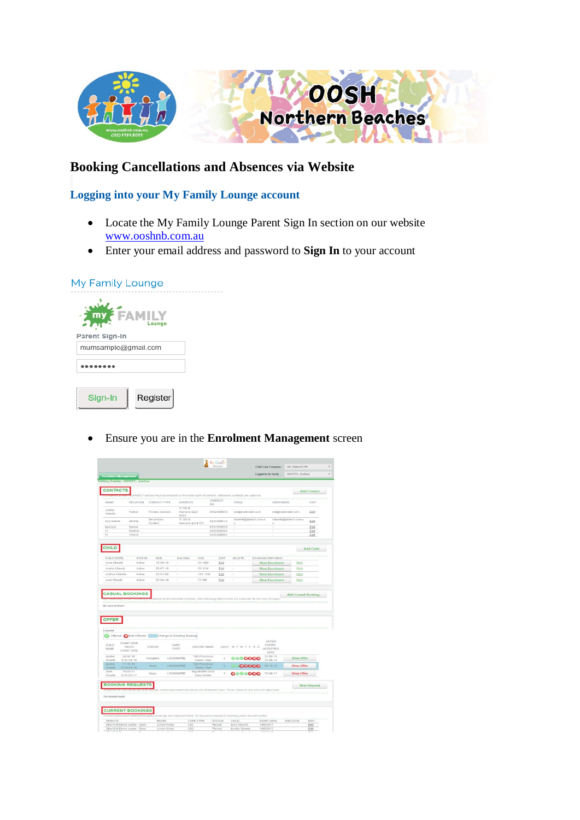

## **Booking Cancellations and Absences via Website**

 $\sim$   $\sim$   $\sim$ 

## **Logging into your My Family Lounge account**

- Locate the My Family Lounge Parent Sign In section on our website [www.ooshnb.com.au](http://www.ooshnb.com.au/)
- Enter your email address and password to **Sign In** to your account

| My Family Lounge    |  |
|---------------------|--|
| ' FA<br>Lounge      |  |
| Parent Sign-In      |  |
| mumsample@gmail.com |  |
|                     |  |
| Register<br>Sian-In |  |

Ensure you are in the **Enrolment Management** screen

|                                                                                                                                                                                                                                                                           |                                                  |                       |                            |                                   |                         |                                                                                                                         | Logged in for family                                                                           | OKEEPE, Joshua       |                    |
|---------------------------------------------------------------------------------------------------------------------------------------------------------------------------------------------------------------------------------------------------------------------------|--------------------------------------------------|-----------------------|----------------------------|-----------------------------------|-------------------------|-------------------------------------------------------------------------------------------------------------------------|------------------------------------------------------------------------------------------------|----------------------|--------------------|
| <b>Enrolment Management</b><br>Editing Family: OKEEFE, Joshua                                                                                                                                                                                                             |                                                  |                       |                            |                                   |                         |                                                                                                                         |                                                                                                |                      |                    |
|                                                                                                                                                                                                                                                                           |                                                  |                       |                            |                                   |                         |                                                                                                                         |                                                                                                |                      |                    |
| <b>CONTACTS</b>                                                                                                                                                                                                                                                           |                                                  |                       |                            |                                   |                         |                                                                                                                         |                                                                                                |                      | <b>Add Contact</b> |
|                                                                                                                                                                                                                                                                           |                                                  |                       |                            |                                   | CONTACT                 | lyFAMILY contact must be entered as the main point of contact. Additional contacts are optional                         |                                                                                                |                      |                    |
| <b>NAME</b>                                                                                                                                                                                                                                                               | <b>RELATION</b>                                  | CONTACT TYPE          | <b>ADDRESS</b>             |                                   | NO.                     | EMAR.                                                                                                                   |                                                                                                | <b>USER NAME</b>     | EDIT               |
| Joshie<br>Okeefe                                                                                                                                                                                                                                                          | Father                                           | Primary Contact       | 11 hill of<br>4123         | murrarie QLD                      | 0432569870              | jok@mailinator.com                                                                                                      |                                                                                                | jok@mailinator.com   | Edit               |
| lisa okeefe                                                                                                                                                                                                                                                               | Mother                                           | Secondary<br>Contact  | 11 hill st                 | murrarie gld 4123                 | 0435698510              | lokeefe@gktech.com.a<br>$\alpha$                                                                                        | ü                                                                                              | lokeefe@gktech.com.a | Edit               |
| tont tost                                                                                                                                                                                                                                                                 | Doctor                                           |                       |                            |                                   | 0731555879              |                                                                                                                         |                                                                                                |                      | Edit               |
| tt                                                                                                                                                                                                                                                                        | Brother                                          |                       |                            |                                   | 0436966666              | $\sim$<br>i,                                                                                                            | ×                                                                                              |                      | Edit               |
| $\ddot{\phantom{a}}$                                                                                                                                                                                                                                                      | Friend                                           |                       |                            |                                   | 0435698885              |                                                                                                                         |                                                                                                |                      | Edit               |
| <b>CHILD</b>                                                                                                                                                                                                                                                              |                                                  |                       |                            |                                   |                         |                                                                                                                         |                                                                                                |                      | Add Child          |
|                                                                                                                                                                                                                                                                           |                                                  |                       |                            |                                   |                         |                                                                                                                         |                                                                                                |                      |                    |
| CHILD NAME<br>Jane Okeele                                                                                                                                                                                                                                                 | <b>STATUS</b><br>Active                          | DOB<br>$15 - 08 - 16$ | Due Date                   | AGE<br>DY 10M                     | EDIT<br>Edit            | DELETE                                                                                                                  | Enrolment information<br><b>View Enrolment</b>                                                 | <b>Print</b>         |                    |
| Joshie Okeefe                                                                                                                                                                                                                                                             | Active                                           | $25 - 07 - 10$        | ź                          | 6Y 11M                            | Edit                    | ś.                                                                                                                      | <b>View Enrolment</b>                                                                          | Print                |                    |
| Joshua Okeele                                                                                                                                                                                                                                                             | Artiva                                           | $25 - 07 - 00$        | $\sim$                     | 16Y 11M                           | Edit                    | $\sim$                                                                                                                  | <b>View EnroIment</b>                                                                          | Print                |                    |
| Josh Okeete                                                                                                                                                                                                                                                               | Active                                           | $22 - 04 - 10$        | ×                          | <b>7Y 2M</b>                      | Edit                    | $\sim$                                                                                                                  | <b>View Enrolment</b>                                                                          | Print                |                    |
|                                                                                                                                                                                                                                                                           |                                                  |                       |                            |                                   |                         |                                                                                                                         | itable for the enrolled children. (The following table shows the summary for the next 30 days) |                      | Add Casual Booking |
|                                                                                                                                                                                                                                                                           |                                                  |                       |                            |                                   |                         |                                                                                                                         |                                                                                                |                      |                    |
|                                                                                                                                                                                                                                                                           |                                                  |                       |                            |                                   |                         |                                                                                                                         |                                                                                                |                      |                    |
|                                                                                                                                                                                                                                                                           |                                                  |                       |                            |                                   |                         |                                                                                                                         |                                                                                                |                      |                    |
|                                                                                                                                                                                                                                                                           |                                                  |                       |                            |                                   |                         |                                                                                                                         |                                                                                                |                      |                    |
|                                                                                                                                                                                                                                                                           |                                                  |                       | Change to Existing Booking |                                   |                         |                                                                                                                         |                                                                                                |                      |                    |
|                                                                                                                                                                                                                                                                           | START DATE                                       |                       |                            |                                   |                         |                                                                                                                         | OFFER                                                                                          |                      |                    |
|                                                                                                                                                                                                                                                                           | <b>BEOTH</b><br>START DATE                       | <b>STATUS</b>         | CARE<br><b>TYPE</b>        | CENTRE NAME                       |                         | DAYS M T W T F S S                                                                                                      | <b>EXPIRY</b><br>ACCEPTED<br>DATE                                                              |                      |                    |
|                                                                                                                                                                                                                                                                           | $30 - 08 - 16$                                   | Accepted              | <b>LDC/KIN/PRE</b>         | *QK Preschool                     | 2.                      | 000000                                                                                                                  | $25 - 09 - 16$                                                                                 | View Offer           |                    |
|                                                                                                                                                                                                                                                                           | S:22-08-16<br>$17 - 10 - 10$<br>$3.19 - 09 - 16$ | Open.                 | <b>LDC/KINFRE</b>          | Centre-Dee<br><b>OK Preschool</b> | $\mathbf{z}$            | 0.00000                                                                                                                 | 30-68-16<br>$00-10-16$                                                                         | View Offer           |                    |
|                                                                                                                                                                                                                                                                           | $15 - 05 - 17$                                   | Open                  | LDC/KIN/PRE                | Centre-Dee<br>Big Giratle Child   | $\,$ $\,$               | 0000000                                                                                                                 | $20-04-17$                                                                                     | <b>View Offer</b>    |                    |
|                                                                                                                                                                                                                                                                           | $S.15 - 05 - 17$                                 |                       |                            | Care Centre                       |                         |                                                                                                                         |                                                                                                |                      |                    |
|                                                                                                                                                                                                                                                                           |                                                  |                       |                            |                                   |                         |                                                                                                                         |                                                                                                |                      | <b>New Request</b> |
|                                                                                                                                                                                                                                                                           |                                                  |                       |                            |                                   |                         |                                                                                                                         | turige current permanent bookings are displayed here. These requests are yet to be approved    |                      |                    |
|                                                                                                                                                                                                                                                                           |                                                  |                       |                            |                                   |                         |                                                                                                                         |                                                                                                |                      |                    |
|                                                                                                                                                                                                                                                                           |                                                  |                       |                            |                                   |                         |                                                                                                                         |                                                                                                |                      |                    |
|                                                                                                                                                                                                                                                                           |                                                  |                       |                            |                                   |                         |                                                                                                                         |                                                                                                |                      |                    |
|                                                                                                                                                                                                                                                                           |                                                  |                       |                            |                                   |                         | Current permanent weekly/fortnightly bookings are displayed here. To request a change in booking press the edit option. |                                                                                                |                      |                    |
| No records found<br><b>OFFER</b><br>Legend<br>Offered Not Offered<br>CHILD<br>NAME<br>Joshie<br>Okeefe<br><b>Jonhie</b><br>Olompeller<br>Josh<br>Okeefe<br><b>BOOKING REQUESTS</b><br>No records found<br><b>CURRENT BOOKINGS</b><br>SERVICE<br>OKeYLM Demo centra - Dave |                                                  | ROOM<br>Junior Kindy  |                            | CARE TYPE<br>LDC                  | <b>STATUS</b><br>Placed | CHILD<br>Jane Okeefe                                                                                                    | <b>START DATE</b><br>1/05/2017                                                                 | END DATE             | EDIT<br>Edit       |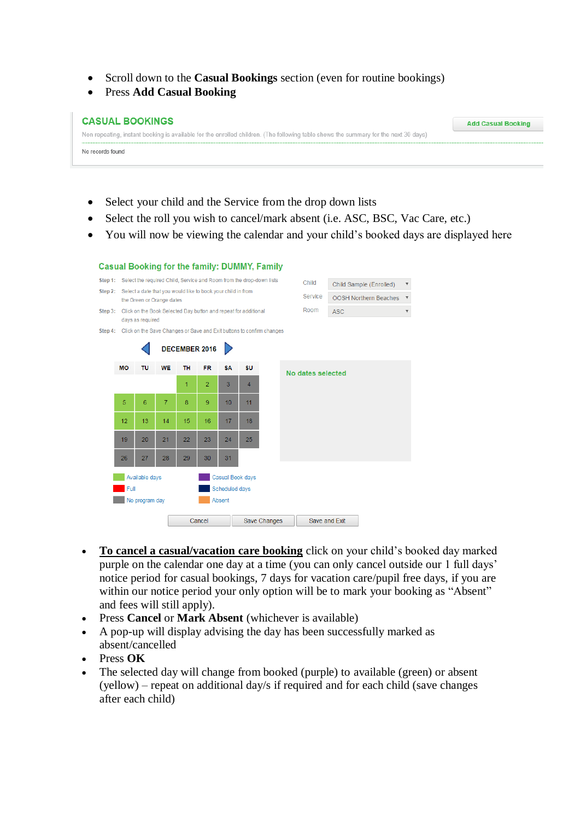- Scroll down to the **Casual Bookings** section (even for routine bookings)
- Press **Add Casual Booking**

| <b>CASUAL BOOKINGS</b>                                                                                                              | <b>Add Casual Booking</b> |
|-------------------------------------------------------------------------------------------------------------------------------------|---------------------------|
| Non repeating, instant booking is available for the enrolled children. (The following table shows the summary for the next 30 days) |                           |
| No records found                                                                                                                    |                           |

- Select your child and the Service from the drop down lists
- Select the roll you wish to cancel/mark absent (i.e. ASC, BSC, Vac Care, etc.)
- You will now be viewing the calendar and your child's booked days are displayed here



- **To cancel a casual/vacation care booking** click on your child's booked day marked purple on the calendar one day at a time (you can only cancel outside our 1 full days' notice period for casual bookings, 7 days for vacation care/pupil free days, if you are within our notice period your only option will be to mark your booking as "Absent" and fees will still apply).
- Press **Cancel** or **Mark Absent** (whichever is available)
- A pop-up will display advising the day has been successfully marked as absent/cancelled
- Press **OK**
- The selected day will change from booked (purple) to available (green) or absent (yellow) – repeat on additional day/s if required and for each child (save changes after each child)